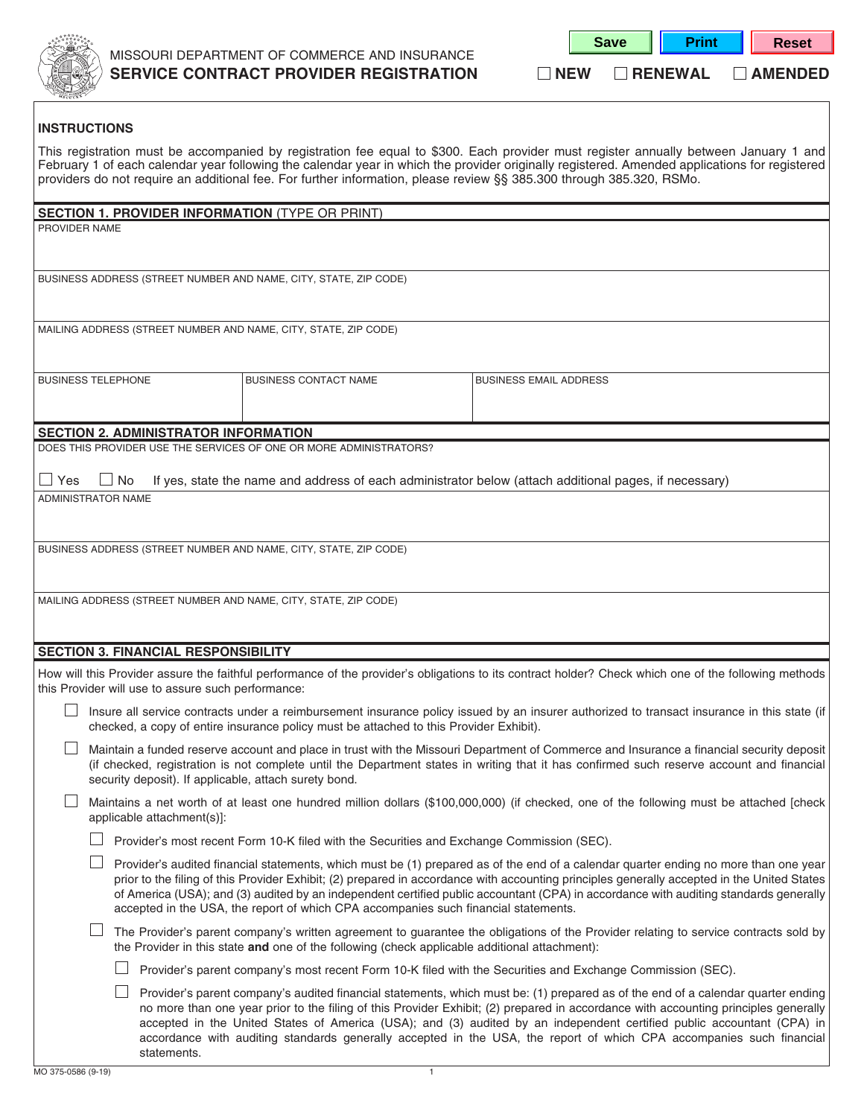

MISSOURI DEPARTMENT OF COMMERCE AND INSURANCE SERVICE CONTRACT PROVIDER REGISTRATION  $\Box$  NEW  $\Box$  RENEWAL  $\Box$  AMENDED

| save |  |
|------|--|

□ NEW

**Print Reset** 

## **INSTRUCTIONS**

This registration must be accompanied by registration fee equal to \$300. Each provider must register annually between January 1 and February 1 of each calendar year following the calendar year in which the provider originally registered. Amended applications for registered providers do not require an additional fee. For further information, please review §§ 385.300 through 385.320, RSMo.

| <b>SECTION 1. PROVIDER INFORMATION (TYPE OR PRINT)</b>                                                                                                                                             |                                                                                                            |                                                                                                                                                       |  |  |  |  |
|----------------------------------------------------------------------------------------------------------------------------------------------------------------------------------------------------|------------------------------------------------------------------------------------------------------------|-------------------------------------------------------------------------------------------------------------------------------------------------------|--|--|--|--|
| PROVIDER NAME                                                                                                                                                                                      |                                                                                                            |                                                                                                                                                       |  |  |  |  |
|                                                                                                                                                                                                    |                                                                                                            |                                                                                                                                                       |  |  |  |  |
|                                                                                                                                                                                                    |                                                                                                            |                                                                                                                                                       |  |  |  |  |
|                                                                                                                                                                                                    | BUSINESS ADDRESS (STREET NUMBER AND NAME, CITY, STATE, ZIP CODE)                                           |                                                                                                                                                       |  |  |  |  |
|                                                                                                                                                                                                    |                                                                                                            |                                                                                                                                                       |  |  |  |  |
|                                                                                                                                                                                                    |                                                                                                            |                                                                                                                                                       |  |  |  |  |
|                                                                                                                                                                                                    | MAILING ADDRESS (STREET NUMBER AND NAME, CITY, STATE, ZIP CODE)                                            |                                                                                                                                                       |  |  |  |  |
|                                                                                                                                                                                                    |                                                                                                            |                                                                                                                                                       |  |  |  |  |
|                                                                                                                                                                                                    |                                                                                                            |                                                                                                                                                       |  |  |  |  |
| <b>BUSINESS TELEPHONE</b>                                                                                                                                                                          | <b>BUSINESS CONTACT NAME</b>                                                                               | <b>BUSINESS EMAIL ADDRESS</b>                                                                                                                         |  |  |  |  |
|                                                                                                                                                                                                    |                                                                                                            |                                                                                                                                                       |  |  |  |  |
|                                                                                                                                                                                                    |                                                                                                            |                                                                                                                                                       |  |  |  |  |
| <b>SECTION 2. ADMINISTRATOR INFORMATION</b>                                                                                                                                                        |                                                                                                            |                                                                                                                                                       |  |  |  |  |
|                                                                                                                                                                                                    | DOES THIS PROVIDER USE THE SERVICES OF ONE OR MORE ADMINISTRATORS?                                         |                                                                                                                                                       |  |  |  |  |
|                                                                                                                                                                                                    |                                                                                                            |                                                                                                                                                       |  |  |  |  |
| $\Box$ Yes<br>$\Box$ No                                                                                                                                                                            |                                                                                                            | If yes, state the name and address of each administrator below (attach additional pages, if necessary)                                                |  |  |  |  |
| <b>ADMINISTRATOR NAME</b>                                                                                                                                                                          |                                                                                                            |                                                                                                                                                       |  |  |  |  |
|                                                                                                                                                                                                    |                                                                                                            |                                                                                                                                                       |  |  |  |  |
|                                                                                                                                                                                                    |                                                                                                            |                                                                                                                                                       |  |  |  |  |
|                                                                                                                                                                                                    | BUSINESS ADDRESS (STREET NUMBER AND NAME, CITY, STATE, ZIP CODE)                                           |                                                                                                                                                       |  |  |  |  |
|                                                                                                                                                                                                    |                                                                                                            |                                                                                                                                                       |  |  |  |  |
|                                                                                                                                                                                                    |                                                                                                            |                                                                                                                                                       |  |  |  |  |
|                                                                                                                                                                                                    | MAILING ADDRESS (STREET NUMBER AND NAME, CITY, STATE, ZIP CODE)                                            |                                                                                                                                                       |  |  |  |  |
|                                                                                                                                                                                                    |                                                                                                            |                                                                                                                                                       |  |  |  |  |
|                                                                                                                                                                                                    |                                                                                                            |                                                                                                                                                       |  |  |  |  |
|                                                                                                                                                                                                    |                                                                                                            |                                                                                                                                                       |  |  |  |  |
| <b>SECTION 3. FINANCIAL RESPONSIBILITY</b>                                                                                                                                                         |                                                                                                            |                                                                                                                                                       |  |  |  |  |
|                                                                                                                                                                                                    |                                                                                                            | How will this Provider assure the faithful performance of the provider's obligations to its contract holder? Check which one of the following methods |  |  |  |  |
| this Provider will use to assure such performance:                                                                                                                                                 |                                                                                                            |                                                                                                                                                       |  |  |  |  |
| Insure all service contracts under a reimbursement insurance policy issued by an insurer authorized to transact insurance in this state (if                                                        |                                                                                                            |                                                                                                                                                       |  |  |  |  |
| checked, a copy of entire insurance policy must be attached to this Provider Exhibit).                                                                                                             |                                                                                                            |                                                                                                                                                       |  |  |  |  |
|                                                                                                                                                                                                    |                                                                                                            |                                                                                                                                                       |  |  |  |  |
| Maintain a funded reserve account and place in trust with the Missouri Department of Commerce and Insurance a financial security deposit                                                           |                                                                                                            |                                                                                                                                                       |  |  |  |  |
| (if checked, registration is not complete until the Department states in writing that it has confirmed such reserve account and financial<br>security deposit). If applicable, attach surety bond. |                                                                                                            |                                                                                                                                                       |  |  |  |  |
|                                                                                                                                                                                                    |                                                                                                            |                                                                                                                                                       |  |  |  |  |
| Maintains a net worth of at least one hundred million dollars (\$100,000,000) (if checked, one of the following must be attached [check                                                            |                                                                                                            |                                                                                                                                                       |  |  |  |  |
| applicable attachment(s)]:                                                                                                                                                                         |                                                                                                            |                                                                                                                                                       |  |  |  |  |
|                                                                                                                                                                                                    | Provider's most recent Form 10-K filed with the Securities and Exchange Commission (SEC).                  |                                                                                                                                                       |  |  |  |  |
|                                                                                                                                                                                                    |                                                                                                            | Provider's audited financial statements, which must be (1) prepared as of the end of a calendar quarter ending no more than one year                  |  |  |  |  |
|                                                                                                                                                                                                    |                                                                                                            | prior to the filing of this Provider Exhibit; (2) prepared in accordance with accounting principles generally accepted in the United States           |  |  |  |  |
|                                                                                                                                                                                                    |                                                                                                            | of America (USA); and (3) audited by an independent certified public accountant (CPA) in accordance with auditing standards generally                 |  |  |  |  |
|                                                                                                                                                                                                    | accepted in the USA, the report of which CPA accompanies such financial statements.                        |                                                                                                                                                       |  |  |  |  |
|                                                                                                                                                                                                    |                                                                                                            |                                                                                                                                                       |  |  |  |  |
|                                                                                                                                                                                                    |                                                                                                            | The Provider's parent company's written agreement to guarantee the obligations of the Provider relating to service contracts sold by                  |  |  |  |  |
|                                                                                                                                                                                                    | the Provider in this state and one of the following (check applicable additional attachment):              |                                                                                                                                                       |  |  |  |  |
|                                                                                                                                                                                                    | Provider's parent company's most recent Form 10-K filed with the Securities and Exchange Commission (SEC). |                                                                                                                                                       |  |  |  |  |
|                                                                                                                                                                                                    |                                                                                                            | Provider's parent company's audited financial statements, which must be: (1) prepared as of the end of a calendar quarter ending                      |  |  |  |  |
|                                                                                                                                                                                                    |                                                                                                            | no more than one year prior to the filing of this Provider Exhibit; (2) prepared in accordance with accounting principles generally                   |  |  |  |  |
|                                                                                                                                                                                                    |                                                                                                            | accepted in the United States of America (USA); and (3) audited by an independent certified public accountant (CPA) in                                |  |  |  |  |
|                                                                                                                                                                                                    |                                                                                                            | accordance with auditing standards generally accepted in the USA, the report of which CPA accompanies such financial                                  |  |  |  |  |
| statements.                                                                                                                                                                                        |                                                                                                            |                                                                                                                                                       |  |  |  |  |